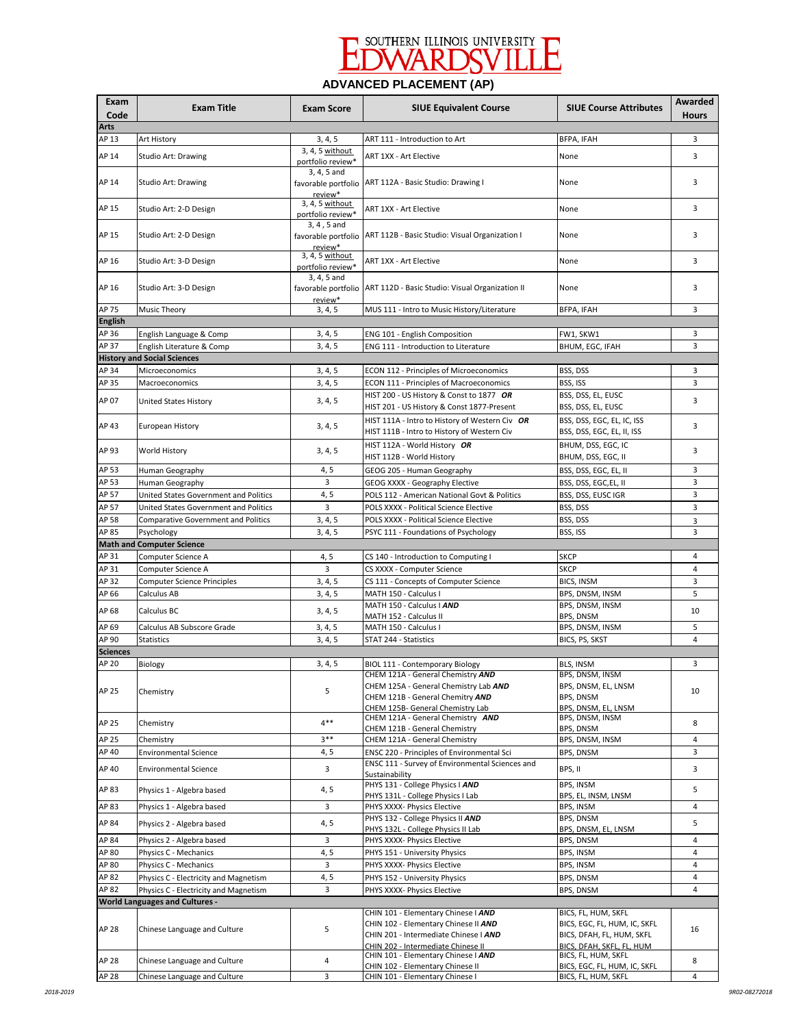

# **ADVANCED PLACEMENT (AP)**

| Exam<br>Code                                                                               | <b>Exam Title</b>                                                              | <b>Exam Score</b>                    | <b>SIUE Equivalent Course</b>                                                                                                                      | <b>SIUE Course Attributes</b>                                                    | Awarded<br><b>Hours</b> |  |  |
|--------------------------------------------------------------------------------------------|--------------------------------------------------------------------------------|--------------------------------------|----------------------------------------------------------------------------------------------------------------------------------------------------|----------------------------------------------------------------------------------|-------------------------|--|--|
| Arts                                                                                       |                                                                                |                                      |                                                                                                                                                    |                                                                                  |                         |  |  |
| AP 13                                                                                      | Art History                                                                    | 3, 4, 5                              | ART 111 - Introduction to Art                                                                                                                      | BFPA, IFAH                                                                       | 3                       |  |  |
| AP 14                                                                                      | Studio Art: Drawing                                                            | 3, 4, 5 without<br>portfolio review* | ART 1XX - Art Elective                                                                                                                             | None                                                                             | 3                       |  |  |
| AP 14                                                                                      | Studio Art: Drawing                                                            | 3, 4, 5 and<br>review*               | favorable portfolio ART 112A - Basic Studio: Drawing I                                                                                             | None                                                                             | 3                       |  |  |
| AP 15                                                                                      | Studio Art: 2-D Design                                                         | 3, 4, 5 without<br>portfolio review* | ART 1XX - Art Elective                                                                                                                             | None                                                                             | 3                       |  |  |
| AP 15                                                                                      | Studio Art: 2-D Design                                                         | 3, 4, 5 and<br>review*               | favorable portfolio ART 112B - Basic Studio: Visual Organization I                                                                                 | None                                                                             | 3                       |  |  |
| AP 16                                                                                      | Studio Art: 3-D Design                                                         | 3, 4, 5 without<br>portfolio review* | ART 1XX - Art Elective                                                                                                                             | None                                                                             | 3                       |  |  |
| AP 16                                                                                      | Studio Art: 3-D Design                                                         | 3, 4, 5 and<br>review*               | favorable portfolio   ART 112D - Basic Studio: Visual Organization II                                                                              | None                                                                             | 3                       |  |  |
| AP 75                                                                                      | Music Theory                                                                   | 3, 4, 5                              | MUS 111 - Intro to Music History/Literature                                                                                                        | BFPA, IFAH                                                                       | 3                       |  |  |
| <b>English</b><br>AP 36                                                                    |                                                                                |                                      |                                                                                                                                                    |                                                                                  | 3                       |  |  |
| AP 37                                                                                      | English Language & Comp<br>English Literature & Comp                           | 3, 4, 5<br>3, 4, 5                   | ENG 101 - English Composition<br>ENG 111 - Introduction to Literature                                                                              | FW1, SKW1<br>BHUM, EGC, IFAH                                                     | 3                       |  |  |
|                                                                                            | <b>History and Social Sciences</b>                                             |                                      |                                                                                                                                                    |                                                                                  |                         |  |  |
| AP 34                                                                                      | Microeconomics                                                                 | 3, 4, 5                              | ECON 112 - Principles of Microeconomics                                                                                                            | BSS, DSS                                                                         | 3                       |  |  |
| AP 35                                                                                      | Macroeconomics                                                                 | 3, 4, 5                              | ECON 111 - Principles of Macroeconomics                                                                                                            | BSS, ISS                                                                         | 3                       |  |  |
|                                                                                            |                                                                                |                                      | HIST 200 - US History & Const to 1877 OR                                                                                                           | BSS, DSS, EL, EUSC                                                               |                         |  |  |
| AP 07                                                                                      | United States History                                                          | 3, 4, 5                              | HIST 201 - US History & Const 1877-Present                                                                                                         | BSS, DSS, EL, EUSC                                                               | 3                       |  |  |
| AP 43                                                                                      | European History                                                               | 3, 4, 5                              | HIST 111A - Intro to History of Western Civ OR<br>HIST 111B - Intro to History of Western Civ                                                      | BSS, DSS, EGC, EL, IC, ISS<br>BSS, DSS, EGC, EL, II, ISS                         | 3                       |  |  |
| AP 93                                                                                      | World History                                                                  | 3, 4, 5                              | HIST 112A - World History OR<br>HIST 112B - World History                                                                                          | BHUM, DSS, EGC, IC<br>BHUM, DSS, EGC, II                                         | 3                       |  |  |
| AP 53                                                                                      | Human Geography                                                                | 4, 5                                 | GEOG 205 - Human Geography                                                                                                                         | BSS, DSS, EGC, EL, II                                                            | 3                       |  |  |
| AP 53                                                                                      | Human Geography                                                                | 3                                    | GEOG XXXX - Geography Elective                                                                                                                     | BSS, DSS, EGC,EL, II                                                             | 3                       |  |  |
| AP 57                                                                                      | United States Government and Politics                                          | 4,5                                  | POLS 112 - American National Govt & Politics                                                                                                       | BSS, DSS, EUSC IGR                                                               | 3                       |  |  |
| AP 57                                                                                      | United States Government and Politics                                          | 3                                    | POLS XXXX - Political Science Elective                                                                                                             | BSS, DSS                                                                         | 3                       |  |  |
| AP 58                                                                                      | Comparative Government and Politics                                            | 3, 4, 5                              | POLS XXXX - Political Science Elective                                                                                                             | BSS, DSS                                                                         | 3                       |  |  |
| AP 85                                                                                      | Psychology                                                                     | 3, 4, 5                              | PSYC 111 - Foundations of Psychology                                                                                                               | BSS, ISS                                                                         | 3                       |  |  |
|                                                                                            | <b>Math and Computer Science</b>                                               |                                      |                                                                                                                                                    |                                                                                  |                         |  |  |
| AP 31                                                                                      | Computer Science A                                                             | 4, 5                                 | CS 140 - Introduction to Computing I                                                                                                               | <b>SKCP</b>                                                                      | 4                       |  |  |
| AP 31<br>AP 32                                                                             | Computer Science A                                                             | 3<br>3, 4, 5                         | CS XXXX - Computer Science                                                                                                                         | <b>SKCP</b>                                                                      | 4<br>3                  |  |  |
| AP 66                                                                                      | Computer Science Principles<br>Calculus AB                                     | 3, 4, 5                              | CS 111 - Concepts of Computer Science<br>MATH 150 - Calculus I                                                                                     | BICS, INSM<br>BPS, DNSM, INSM                                                    | 5                       |  |  |
|                                                                                            |                                                                                |                                      | MATH 150 - Calculus   AND                                                                                                                          | BPS, DNSM, INSM                                                                  |                         |  |  |
| AP 68                                                                                      | Calculus BC                                                                    | 3, 4, 5                              | MATH 152 - Calculus II                                                                                                                             | BPS, DNSM                                                                        | 10                      |  |  |
| AP 69                                                                                      | Calculus AB Subscore Grade                                                     | 3, 4, 5                              | MATH 150 - Calculus I                                                                                                                              | BPS, DNSM, INSM                                                                  | 5                       |  |  |
| AP 90                                                                                      | <b>Statistics</b>                                                              | 3, 4, 5                              | STAT 244 - Statistics                                                                                                                              | BICS, PS, SKST                                                                   | 4                       |  |  |
| <b>Sciences</b>                                                                            |                                                                                |                                      |                                                                                                                                                    |                                                                                  |                         |  |  |
| AP 20                                                                                      | Biology                                                                        | 3, 4, 5                              | BIOL 111 - Contemporary Biology                                                                                                                    | BLS, INSM                                                                        | 3                       |  |  |
| AP 25                                                                                      | Chemistry                                                                      | 5                                    | CHEM 121A - General Chemistry AND<br>CHEM 125A - General Chemistry Lab AND<br>CHEM 121B - General Chemitry AND<br>CHEM 125B- General Chemistry Lab | BPS, DNSM, INSM<br>BPS, DNSM, EL, LNSM<br>BPS, DNSM<br>BPS, DNSM, EL, LNSM       | 10                      |  |  |
| AP 25                                                                                      | Chemistry                                                                      | $4***$                               | CHEM 121A - General Chemistry AND<br>CHEM 121B - General Chemistry                                                                                 | BPS, DNSM, INSM<br>BPS, DNSM                                                     | 8                       |  |  |
| AP 25                                                                                      | Chemistry                                                                      | $3***$                               | CHEM 121A - General Chemistry                                                                                                                      | BPS, DNSM, INSM                                                                  | 4                       |  |  |
| AP 40                                                                                      | <b>Environmental Science</b>                                                   | 4, 5                                 | ENSC 220 - Principles of Environmental Sci                                                                                                         | BPS, DNSM                                                                        | 3                       |  |  |
| AP 40                                                                                      | <b>Environmental Science</b>                                                   | 3                                    | ENSC 111 - Survey of Environmental Sciences and<br>Sustainability                                                                                  | BPS, II                                                                          | 3                       |  |  |
| AP 83                                                                                      | Physics 1 - Algebra based                                                      | 4, 5                                 | PHYS 131 - College Physics I AND<br>PHYS 131L - College Physics I Lab                                                                              | BPS, INSM<br>BPS, EL, INSM, LNSM                                                 | 5                       |  |  |
| AP 83                                                                                      | Physics 1 - Algebra based                                                      | 3                                    | PHYS XXXX- Physics Elective                                                                                                                        | BPS, INSM                                                                        | 4                       |  |  |
| AP 84                                                                                      | Physics 2 - Algebra based                                                      | 4, 5                                 | PHYS 132 - College Physics II AND<br>PHYS 132L - College Physics II Lab                                                                            | BPS, DNSM<br>BPS, DNSM, EL, LNSM                                                 | 5                       |  |  |
| AP 84                                                                                      | Physics 2 - Algebra based                                                      | 3                                    | PHYS XXXX- Physics Elective                                                                                                                        | BPS, DNSM                                                                        | 4                       |  |  |
| AP 80                                                                                      | Physics C - Mechanics                                                          | 4, 5<br>3                            | PHYS 151 - University Physics                                                                                                                      | BPS, INSM                                                                        | 4<br>4                  |  |  |
| AP 80<br>AP 82                                                                             | Physics C - Mechanics                                                          | 4, 5                                 | PHYS XXXX- Physics Elective                                                                                                                        | BPS, INSM                                                                        | 4                       |  |  |
|                                                                                            | Physics C - Electricity and Magnetism<br>Physics C - Electricity and Magnetism | 3                                    | PHYS 152 - University Physics                                                                                                                      | BPS, DNSM                                                                        | 4                       |  |  |
| PHYS XXXX- Physics Elective<br>BPS, DNSM<br>AP 82<br><b>World Languages and Cultures -</b> |                                                                                |                                      |                                                                                                                                                    |                                                                                  |                         |  |  |
| AP 28                                                                                      | Chinese Language and Culture                                                   | 5                                    | CHIN 101 - Elementary Chinese   AND<br>CHIN 102 - Elementary Chinese II AND<br>CHIN 201 - Intermediate Chinese I AND                               | BICS, FL, HUM, SKFL<br>BICS, EGC, FL, HUM, IC, SKFL<br>BICS, DFAH, FL, HUM, SKFL | 16                      |  |  |
| AP 28                                                                                      | Chinese Language and Culture                                                   | 4                                    | CHIN 202 - Intermediate Chinese II<br>CHIN 101 - Elementary Chinese   AND                                                                          | BICS, DFAH, SKFL, FL, HUM<br>BICS, FL, HUM, SKFL                                 | 8                       |  |  |
| AP 28                                                                                      | Chinese Language and Culture                                                   | 3                                    | CHIN 102 - Elementary Chinese II<br>CHIN 101 - Elementary Chinese I                                                                                | BICS, EGC, FL, HUM, IC, SKFL<br>BICS, FL, HUM, SKFL                              | 4                       |  |  |